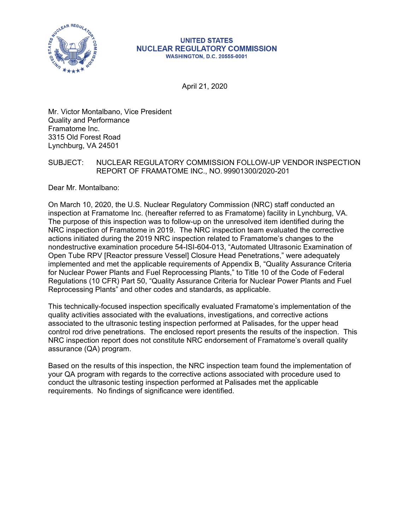

#### **UNITED STATES NUCLEAR REGULATORY COMMISSION WASHINGTON, D.C. 20555-0001**

April 21, 2020

Mr. Victor Montalbano, Vice President Quality and Performance Framatome Inc. 3315 Old Forest Road Lynchburg, VA 24501

## SUBJECT: NUCLEAR REGULATORY COMMISSION FOLLOW-UP VENDOR INSPECTION REPORT OF FRAMATOME INC., NO. 99901300/2020-201

Dear Mr. Montalbano:

On March 10, 2020, the U.S. Nuclear Regulatory Commission (NRC) staff conducted an inspection at Framatome Inc. (hereafter referred to as Framatome) facility in Lynchburg, VA. The purpose of this inspection was to follow-up on the unresolved item identified during the NRC inspection of Framatome in 2019. The NRC inspection team evaluated the corrective actions initiated during the 2019 NRC inspection related to Framatome's changes to the nondestructive examination procedure 54-ISI-604-013, "Automated Ultrasonic Examination of Open Tube RPV [Reactor pressure Vessel] Closure Head Penetrations," were adequately implemented and met the applicable requirements of Appendix B, "Quality Assurance Criteria for Nuclear Power Plants and Fuel Reprocessing Plants," to Title 10 of the Code of Federal Regulations (10 CFR) Part 50, "Quality Assurance Criteria for Nuclear Power Plants and Fuel Reprocessing Plants" and other codes and standards, as applicable.

This technically-focused inspection specifically evaluated Framatome's implementation of the quality activities associated with the evaluations, investigations, and corrective actions associated to the ultrasonic testing inspection performed at Palisades, for the upper head control rod drive penetrations. The enclosed report presents the results of the inspection. This NRC inspection report does not constitute NRC endorsement of Framatome's overall quality assurance (QA) program.

Based on the results of this inspection, the NRC inspection team found the implementation of your QA program with regards to the corrective actions associated with procedure used to conduct the ultrasonic testing inspection performed at Palisades met the applicable requirements. No findings of significance were identified.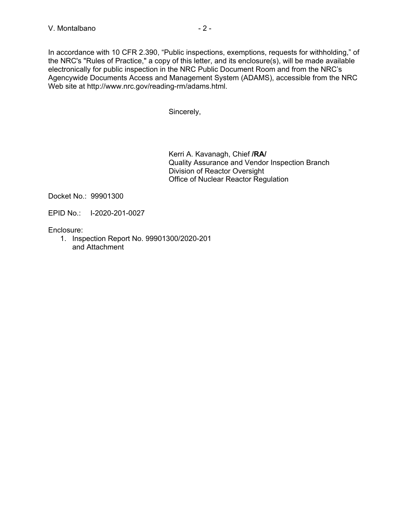In accordance with 10 CFR 2.390, "Public inspections, exemptions, requests for withholding," of the NRC's "Rules of Practice," a copy of this letter, and its enclosure(s), will be made available electronically for public inspection in the NRC Public Document Room and from the NRC's Agencywide Documents Access and Management System (ADAMS), accessible from the NRC Web site at http://www.nrc.gov/reading-rm/adams.html.

Sincerely,

Kerri A. Kavanagh, Chief **/RA/**  Quality Assurance and Vendor Inspection Branch Division of Reactor Oversight Office of Nuclear Reactor Regulation

Docket No.: 99901300

EPID No.: I-2020-201-0027

Enclosure:

1. Inspection Report No. 99901300/2020-201 and Attachment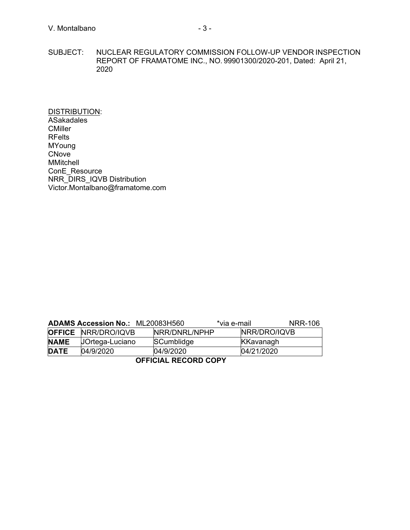SUBJECT: NUCLEAR REGULATORY COMMISSION FOLLOW-UP VENDOR INSPECTION REPORT OF FRAMATOME INC., NO. 99901300/2020-201, Dated: April 21, 2020

DISTRIBUTION: ASakadales **CMiller** RFelts MYoung CNove MMitchell ConE\_Resource NRR\_DIRS\_IQVB Distribution Victor.Montalbano@framatome.com

|                      | <b>ADAMS Accession No.: ML20083H560</b> |               | *via e-mail  | NRR-106 |  |  |
|----------------------|-----------------------------------------|---------------|--------------|---------|--|--|
|                      | <b>OFFICE NRR/DRO/IQVB</b>              | NRR/DNRL/NPHP | NRR/DRO/IQVB |         |  |  |
| <b>NAME</b>          | JOrtega-Luciano                         | SCumblidge    | KKavanagh    |         |  |  |
| <b>DATE</b>          | 04/9/2020                               | 04/9/2020     | 04/21/2020   |         |  |  |
| ACCIAIAL DEAADD AADV |                                         |               |              |         |  |  |

**OFFICIAL RECORD COPY**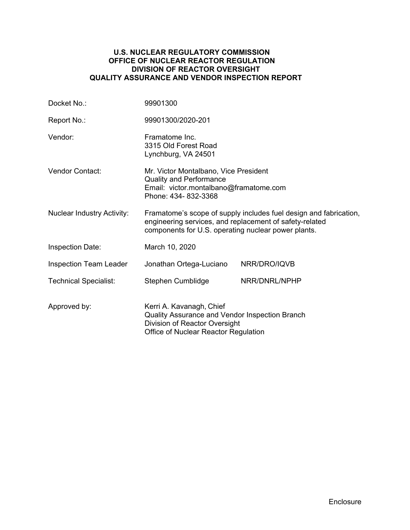### **U.S. NUCLEAR REGULATORY COMMISSION OFFICE OF NUCLEAR REACTOR REGULATION DIVISION OF REACTOR OVERSIGHT QUALITY ASSURANCE AND VENDOR INSPECTION REPORT**

| Docket No.:                       | 99901300                                                                                                                                                                            |               |  |
|-----------------------------------|-------------------------------------------------------------------------------------------------------------------------------------------------------------------------------------|---------------|--|
| Report No.:                       | 99901300/2020-201                                                                                                                                                                   |               |  |
| Vendor:                           | Framatome Inc.<br>3315 Old Forest Road<br>Lynchburg, VA 24501                                                                                                                       |               |  |
| <b>Vendor Contact:</b>            | Mr. Victor Montalbano, Vice President<br><b>Quality and Performance</b><br>Email: victor.montalbano@framatome.com<br>Phone: 434-832-3368                                            |               |  |
| <b>Nuclear Industry Activity:</b> | Framatome's scope of supply includes fuel design and fabrication,<br>engineering services, and replacement of safety-related<br>components for U.S. operating nuclear power plants. |               |  |
| <b>Inspection Date:</b>           | March 10, 2020                                                                                                                                                                      |               |  |
| <b>Inspection Team Leader</b>     | Jonathan Ortega-Luciano                                                                                                                                                             | NRR/DRO/IQVB  |  |
| <b>Technical Specialist:</b>      | Stephen Cumblidge                                                                                                                                                                   | NRR/DNRL/NPHP |  |
| Approved by:                      | Kerri A. Kavanagh, Chief<br>Quality Assurance and Vendor Inspection Branch<br>Division of Reactor Oversight<br>Office of Nuclear Reactor Regulation                                 |               |  |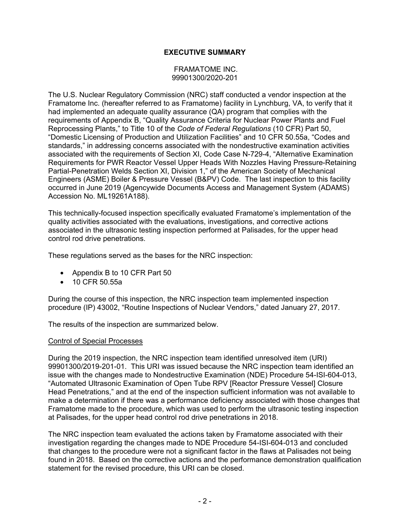## **EXECUTIVE SUMMARY**

#### FRAMATOME INC. 99901300/2020-201

The U.S. Nuclear Regulatory Commission (NRC) staff conducted a vendor inspection at the Framatome Inc. (hereafter referred to as Framatome) facility in Lynchburg, VA, to verify that it had implemented an adequate quality assurance (QA) program that complies with the requirements of Appendix B, "Quality Assurance Criteria for Nuclear Power Plants and Fuel Reprocessing Plants," to Title 10 of the *Code of Federal Regulations* (10 CFR) Part 50, "Domestic Licensing of Production and Utilization Facilities" and 10 CFR 50.55a, "Codes and standards," in addressing concerns associated with the nondestructive examination activities associated with the requirements of Section XI, Code Case N-729-4, "Alternative Examination Requirements for PWR Reactor Vessel Upper Heads With Nozzles Having Pressure-Retaining Partial-Penetration Welds Section XI, Division 1," of the American Society of Mechanical Engineers (ASME) Boiler & Pressure Vessel (B&PV) Code. The last inspection to this facility occurred in June 2019 (Agencywide Documents Access and Management System (ADAMS) Accession No. ML19261A188).

This technically-focused inspection specifically evaluated Framatome's implementation of the quality activities associated with the evaluations, investigations, and corrective actions associated in the ultrasonic testing inspection performed at Palisades, for the upper head control rod drive penetrations.

These regulations served as the bases for the NRC inspection:

- Appendix B to 10 CFR Part 50
- 10 CFR 50.55a

During the course of this inspection, the NRC inspection team implemented inspection procedure (IP) 43002, "Routine Inspections of Nuclear Vendors," dated January 27, 2017.

The results of the inspection are summarized below.

#### Control of Special Processes

During the 2019 inspection, the NRC inspection team identified unresolved item (URI) 99901300/2019-201-01. This URI was issued because the NRC inspection team identified an issue with the changes made to Nondestructive Examination (NDE) Procedure 54-ISI-604-013, "Automated Ultrasonic Examination of Open Tube RPV [Reactor Pressure Vessel] Closure Head Penetrations," and at the end of the inspection sufficient information was not available to make a determination if there was a performance deficiency associated with those changes that Framatome made to the procedure, which was used to perform the ultrasonic testing inspection at Palisades, for the upper head control rod drive penetrations in 2018.

The NRC inspection team evaluated the actions taken by Framatome associated with their investigation regarding the changes made to NDE Procedure 54-ISI-604-013 and concluded that changes to the procedure were not a significant factor in the flaws at Palisades not being found in 2018. Based on the corrective actions and the performance demonstration qualification statement for the revised procedure, this URI can be closed.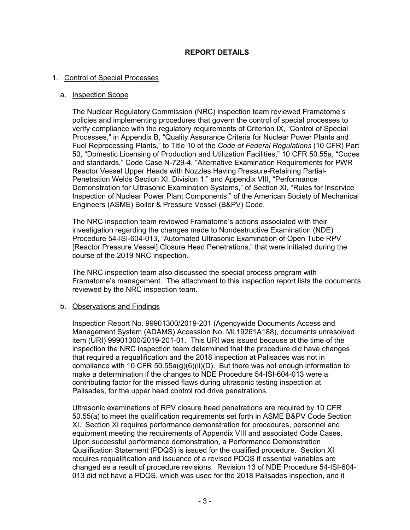## **REPORT DETAILS**

#### 1. Control of Special Processes

#### a. Inspection Scope

The Nuclear Regulatory Commission (NRC) inspection team reviewed Framatome's policies and implementing procedures that govern the control of special processes to verify compliance with the regulatory requirements of Criterion IX, "Control of Special Processes," in Appendix B, "Quality Assurance Criteria for Nuclear Power Plants and Fuel Reprocessing Plants," to Title 10 of the *Code of Federal Regulations* (10 CFR) Part 50, "Domestic Licensing of Production and Utilization Facilities," 10 CFR 50.55a, "Codes and standards," Code Case N-729-4, "Alternative Examination Requirements for PWR Reactor Vessel Upper Heads with Nozzles Having Pressure-Retaining Partial-Penetration Welds Section XI, Division 1," and Appendix VIII, "Performance Demonstration for Ultrasonic Examination Systems," of Section XI, "Rules for Inservice Inspection of Nuclear Power Plant Components," of the American Society of Mechanical Engineers (ASME) Boiler & Pressure Vessel (B&PV) Code.

The NRC inspection team reviewed Framatome's actions associated with their investigation regarding the changes made to Nondestructive Examination (NDE) Procedure 54-ISI-604-013, "Automated Ultrasonic Examination of Open Tube RPV [Reactor Pressure Vessel] Closure Head Penetrations," that were initiated during the course of the 2019 NRC inspection.

The NRC inspection team also discussed the special process program with Framatome's management. The attachment to this inspection report lists the documents reviewed by the NRC inspection team.

#### b. Observations and Findings

Inspection Report No. 99901300/2019-201 (Agencywide Documents Access and Management System (ADAMS) Accession No. ML19261A188), documents unresolved item (URI) 99901300/2019-201-01. This URI was issued because at the time of the inspection the NRC inspection team determined that the procedure did have changes that required a requalification and the 2018 inspection at Palisades was not in compliance with 10 CFR 50.55a(g)(6)(ii)(D). But there was not enough information to make a determination if the changes to NDE Procedure 54-ISI-604-013 were a contributing factor for the missed flaws during ultrasonic testing inspection at Palisades, for the upper head control rod drive penetrations.

Ultrasonic examinations of RPV closure head penetrations are required by 10 CFR 50.55(a) to meet the qualification requirements set forth in ASME B&PV Code Section XI. Section XI requires performance demonstration for procedures, personnel and equipment meeting the requirements of Appendix VIII and associated Code Cases. Upon successful performance demonstration, a Performance Demonstration Qualification Statement (PDQS) is issued for the qualified procedure. Section XI requires requalification and issuance of a revised PDQS if essential variables are changed as a result of procedure revisions. Revision 13 of NDE Procedure 54-ISI-604- 013 did not have a PDQS, which was used for the 2018 Palisades inspection, and it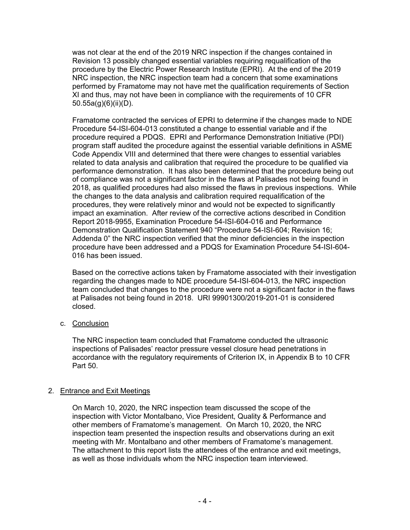was not clear at the end of the 2019 NRC inspection if the changes contained in Revision 13 possibly changed essential variables requiring requalification of the procedure by the Electric Power Research Institute (EPRI). At the end of the 2019 NRC inspection, the NRC inspection team had a concern that some examinations performed by Framatome may not have met the qualification requirements of Section XI and thus, may not have been in compliance with the requirements of 10 CFR 50.55a(g)(6)(ii)(D).

Framatome contracted the services of EPRI to determine if the changes made to NDE Procedure 54-ISI-604-013 constituted a change to essential variable and if the procedure required a PDQS. EPRI and Performance Demonstration Initiative (PDI) program staff audited the procedure against the essential variable definitions in ASME Code Appendix VIII and determined that there were changes to essential variables related to data analysis and calibration that required the procedure to be qualified via performance demonstration. It has also been determined that the procedure being out of compliance was not a significant factor in the flaws at Palisades not being found in 2018, as qualified procedures had also missed the flaws in previous inspections. While the changes to the data analysis and calibration required requalification of the procedures, they were relatively minor and would not be expected to significantly impact an examination. After review of the corrective actions described in Condition Report 2018-9955, Examination Procedure 54-ISI-604-016 and Performance Demonstration Qualification Statement 940 "Procedure 54-ISI-604; Revision 16; Addenda 0" the NRC inspection verified that the minor deficiencies in the inspection procedure have been addressed and a PDQS for Examination Procedure 54-ISI-604- 016 has been issued.

Based on the corrective actions taken by Framatome associated with their investigation regarding the changes made to NDE procedure 54-ISI-604-013, the NRC inspection team concluded that changes to the procedure were not a significant factor in the flaws at Palisades not being found in 2018. URI 99901300/2019-201-01 is considered closed.

c. Conclusion

The NRC inspection team concluded that Framatome conducted the ultrasonic inspections of Palisades' reactor pressure vessel closure head penetrations in accordance with the regulatory requirements of Criterion IX, in Appendix B to 10 CFR Part 50.

## 2. Entrance and Exit Meetings

On March 10, 2020, the NRC inspection team discussed the scope of the inspection with Victor Montalbano, Vice President, Quality & Performance and other members of Framatome's management. On March 10, 2020, the NRC inspection team presented the inspection results and observations during an exit meeting with Mr. Montalbano and other members of Framatome's management. The attachment to this report lists the attendees of the entrance and exit meetings, as well as those individuals whom the NRC inspection team interviewed.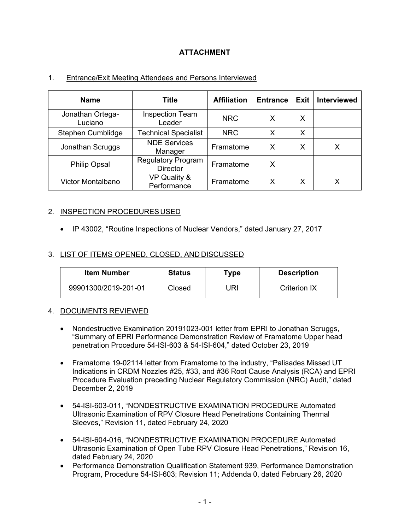# **ATTACHMENT**

| <b>Name</b>                 | Title                                        | <b>Affiliation</b> | <b>Entrance</b> | Exit | <b>Interviewed</b> |
|-----------------------------|----------------------------------------------|--------------------|-----------------|------|--------------------|
| Jonathan Ortega-<br>Luciano | <b>Inspection Team</b><br>Leader             | <b>NRC</b>         | Х               | X    |                    |
| Stephen Cumblidge           | <b>Technical Specialist</b>                  | <b>NRC</b>         | X               | Х    |                    |
| Jonathan Scruggs            | <b>NDE Services</b><br>Manager               | Framatome          | X               | x    | Х                  |
| <b>Philip Opsal</b>         | <b>Regulatory Program</b><br><b>Director</b> | Framatome          | X               |      |                    |
| Victor Montalbano           | VP Quality &<br>Performance                  | Framatome          | x               | х    |                    |

## 1. Entrance/Exit Meeting Attendees and Persons Interviewed

## 2. INSPECTION PROCEDURES USED

• IP 43002, "Routine Inspections of Nuclear Vendors," dated January 27, 2017

## 3. LIST OF ITEMS OPENED, CLOSED, AND DISCUSSED

| <b>Item Number</b>   | <b>Status</b> | Type | <b>Description</b> |
|----------------------|---------------|------|--------------------|
| 99901300/2019-201-01 | Closed        | JRI  | Criterion IX       |

#### 4. DOCUMENTS REVIEWED

- Nondestructive Examination 20191023-001 letter from EPRI to Jonathan Scruggs, "Summary of EPRI Performance Demonstration Review of Framatome Upper head penetration Procedure 54-ISI-603 & 54-ISI-604," dated October 23, 2019
- Framatome 19-02114 letter from Framatome to the industry, "Palisades Missed UT Indications in CRDM Nozzles #25, #33, and #36 Root Cause Analysis (RCA) and EPRI Procedure Evaluation preceding Nuclear Regulatory Commission (NRC) Audit," dated December 2, 2019
- 54-ISI-603-011, "NONDESTRUCTIVE EXAMINATION PROCEDURE Automated Ultrasonic Examination of RPV Closure Head Penetrations Containing Thermal Sleeves," Revision 11, dated February 24, 2020
- 54-ISI-604-016, "NONDESTRUCTIVE EXAMINATION PROCEDURE Automated Ultrasonic Examination of Open Tube RPV Closure Head Penetrations," Revision 16, dated February 24, 2020
- Performance Demonstration Qualification Statement 939, Performance Demonstration Program, Procedure 54-ISI-603; Revision 11; Addenda 0, dated February 26, 2020